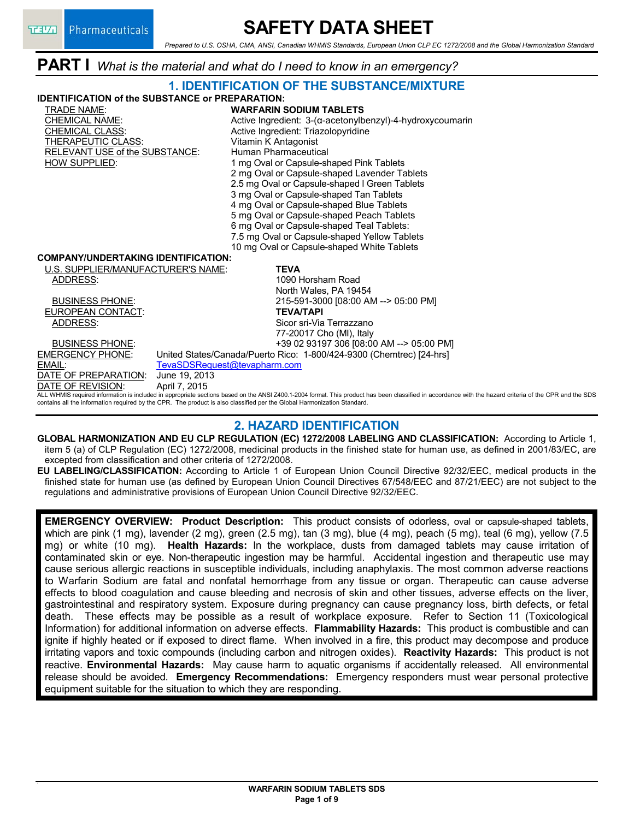# **SAFETY DATA SHEET**

*Prepared to U.S. OSHA, CMA, ANSI, Canadian WHMIS Standards, European Union CLP EC 1272/2008 and the Global Harmonization Standard*

**PART I** *What is the material and what do I need to know in an emergency?*

### **1. IDENTIFICATION OF THE SUBSTANCE/MIXTURE**

**IDENTIFICATION of the SUBSTANCE or PREPARATION:**

- TRADE NAME: **WARFARIN SODIUM TABLETS** CHEMICAL CLASS: Active Ingredient: Triazolopyridine THERAPEUTIC CLASS: Vitamin K Antagonist<br>RELEVANT USE of the SUBSTANCE: Human Pharmaceutical RELEVANT USE of the SUBSTANCE:
- Active Ingredient: 3-(α-acetonylbenzyl)-4-hydroxycoumarin HOW SUPPLIED: 1 mg Oval or Capsule-shaped Pink Tablets 2 mg Oval or Capsule-shaped Lavender Tablets 2.5 mg Oval or Capsule-shaped l Green Tablets 3 mg Oval or Capsule-shaped Tan Tablets 4 mg Oval or Capsule-shaped Blue Tablets 5 mg Oval or Capsule-shaped Peach Tablets 6 mg Oval or Capsule-shaped Teal Tablets: 7.5 mg Oval or Capsule-shaped Yellow Tablets

10 mg Oval or Capsule-shaped White Tablets

#### **COMPANY/UNDERTAKING IDENTIFICATION:**

U.S. SUPPLIER/MANUFACTURER'S NAME: **TEVA** ADDRESS: 1090 Horsham Road

EUROPEAN CONTACT: **TEVA/TAPI**

North Wales, PA 19454 BUSINESS PHONE: 215-591-3000 [08:00 AM --> 05:00 PM] ADDRESS: Sicor sri-Via Terrazzano 77-20017 Cho (MI), Italy BUSINESS PHONE: +39 02 93197 306 [08:00 AM --> 05:00 PM] EMERGENCY PHONE: United States/Canada/Puerto Rico: 1-800/424-9300 (Chemtrec) [24-hrs]

EMAIL: FevaSDSRequest@tevapharm.com<br>
DATE OF PREPARATION: June 19, 2013 DATE OF PREPARATION: June 19, 201<br>DATE OF REVISION: April 7, 2015 DATE OF REVISION:

ALL WHMIS required information is included in appropriate sections based on the ANSI Z400.1-2004 format. This product has been classified in accordance with the hazard criteria of the CPR and the SDS contains all the information required by the CPR. The product is also classified per the Global Harmonization Standard.

### **2. HAZARD IDENTIFICATION**

**GLOBAL HARMONIZATION AND EU CLP REGULATION (EC) 1272/2008 LABELING AND CLASSIFICATION:** According to Article 1, item 5 (a) of CLP Regulation (EC) 1272/2008, medicinal products in the finished state for human use, as defined in 2001/83/EC, are excepted from classification and other criteria of 1272/2008.

**EU LABELING/CLASSIFICATION:** According to Article 1 of European Union Council Directive 92/32/EEC, medical products in the finished state for human use (as defined by European Union Council Directives 67/548/EEC and 87/21/EEC) are not subject to the regulations and administrative provisions of European Union Council Directive 92/32/EEC.

**EMERGENCY OVERVIEW: Product Description:** This product consists of odorless, oval or capsule-shaped tablets, which are pink (1 mg), lavender (2 mg), green (2.5 mg), tan (3 mg), blue (4 mg), peach (5 mg), teal (6 mg), yellow (7.5 mg) or white (10 mg). **Health Hazards:** In the workplace, dusts from damaged tablets may cause irritation of contaminated skin or eye. Non-therapeutic ingestion may be harmful. Accidental ingestion and therapeutic use may cause serious allergic reactions in susceptible individuals, including anaphylaxis. The most common adverse reactions to Warfarin Sodium are fatal and nonfatal hemorrhage from any tissue or organ. Therapeutic can cause adverse effects to blood coagulation and cause bleeding and necrosis of skin and other tissues, adverse effects on the liver, gastrointestinal and respiratory system. Exposure during pregnancy can cause pregnancy loss, birth defects, or fetal death. These effects may be possible as a result of workplace exposure. Refer to Section 11 (Toxicological Information) for additional information on adverse effects. **Flammability Hazards:** This product is combustible and can ignite if highly heated or if exposed to direct flame. When involved in a fire, this product may decompose and produce irritating vapors and toxic compounds (including carbon and nitrogen oxides). **Reactivity Hazards:** This product is not reactive. **Environmental Hazards:** May cause harm to aquatic organisms if accidentally released. All environmental release should be avoided. **Emergency Recommendations:** Emergency responders must wear personal protective equipment suitable for the situation to which they are responding.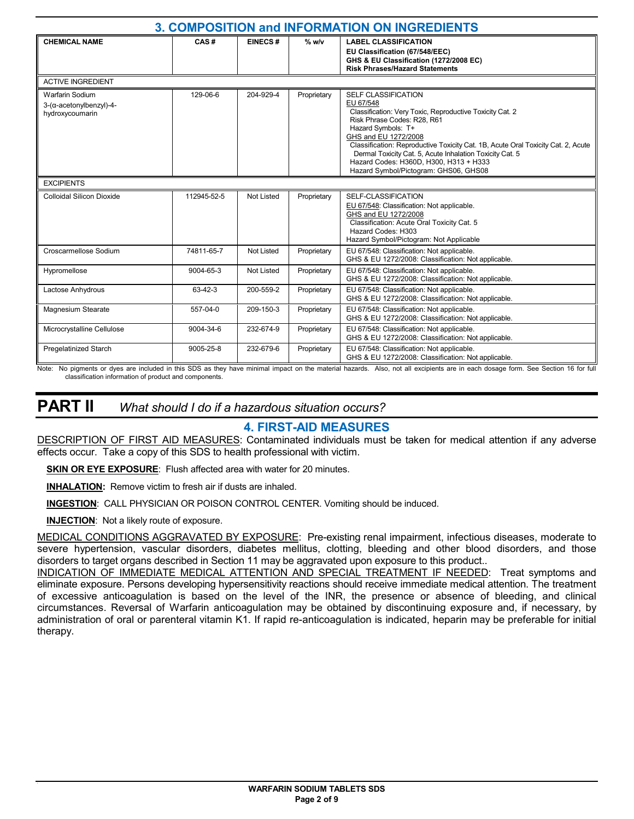| 3. COMPOSITION and INFORMATION ON INGREDIENTS                                |             |                |             |                                                                                                                                                                                                                                                                                                                                                                                                                     |  |  |  |
|------------------------------------------------------------------------------|-------------|----------------|-------------|---------------------------------------------------------------------------------------------------------------------------------------------------------------------------------------------------------------------------------------------------------------------------------------------------------------------------------------------------------------------------------------------------------------------|--|--|--|
| <b>CHEMICAL NAME</b>                                                         | CAS#        | <b>EINECS#</b> | $%$ w/v     | <b>LABEL CLASSIFICATION</b><br>EU Classification (67/548/EEC)<br>GHS & EU Classification (1272/2008 EC)<br><b>Risk Phrases/Hazard Statements</b>                                                                                                                                                                                                                                                                    |  |  |  |
| <b>ACTIVE INGREDIENT</b>                                                     |             |                |             |                                                                                                                                                                                                                                                                                                                                                                                                                     |  |  |  |
| <b>Warfarin Sodium</b><br>$3-(\alpha$ -acetonylbenzyl)-4-<br>hydroxycoumarin | 129-06-6    | 204-929-4      | Proprietary | <b>SELF CLASSIFICATION</b><br>EU 67/548<br>Classification: Very Toxic, Reproductive Toxicity Cat. 2<br>Risk Phrase Codes: R28, R61<br>Hazard Symbols: T+<br>GHS and EU 1272/2008<br>Classification: Reproductive Toxicity Cat. 1B, Acute Oral Toxicity Cat. 2, Acute<br>Dermal Toxicity Cat. 5, Acute Inhalation Toxicity Cat. 5<br>Hazard Codes: H360D, H300, H313 + H333<br>Hazard Symbol/Pictogram: GHS06, GHS08 |  |  |  |
| <b>EXCIPIENTS</b>                                                            |             |                |             |                                                                                                                                                                                                                                                                                                                                                                                                                     |  |  |  |
| <b>Colloidal Silicon Dioxide</b>                                             | 112945-52-5 | Not Listed     | Proprietary | SELF-CLASSIFICATION<br>EU 67/548: Classification: Not applicable.<br>GHS and EU 1272/2008<br>Classification: Acute Oral Toxicity Cat. 5<br>Hazard Codes: H303<br>Hazard Symbol/Pictogram: Not Applicable                                                                                                                                                                                                            |  |  |  |
| Croscarmellose Sodium                                                        | 74811-65-7  | Not Listed     | Proprietary | EU 67/548: Classification: Not applicable.<br>GHS & EU 1272/2008: Classification: Not applicable.                                                                                                                                                                                                                                                                                                                   |  |  |  |
| Hypromellose                                                                 | 9004-65-3   | Not Listed     | Proprietary | EU 67/548: Classification: Not applicable.<br>GHS & EU 1272/2008: Classification: Not applicable.                                                                                                                                                                                                                                                                                                                   |  |  |  |
| Lactose Anhydrous                                                            | 63-42-3     | 200-559-2      | Proprietary | EU 67/548: Classification: Not applicable.<br>GHS & EU 1272/2008: Classification: Not applicable.                                                                                                                                                                                                                                                                                                                   |  |  |  |
| Magnesium Stearate                                                           | 557-04-0    | 209-150-3      | Proprietary | EU 67/548: Classification: Not applicable.<br>GHS & EU 1272/2008: Classification: Not applicable.                                                                                                                                                                                                                                                                                                                   |  |  |  |
| Microcrystalline Cellulose                                                   | 9004-34-6   | 232-674-9      | Proprietary | EU 67/548: Classification: Not applicable.<br>GHS & EU 1272/2008: Classification: Not applicable.                                                                                                                                                                                                                                                                                                                   |  |  |  |
| <b>Pregelatinized Starch</b>                                                 | 9005-25-8   | 232-679-6      | Proprietary | EU 67/548: Classification: Not applicable.<br>GHS & EU 1272/2008: Classification: Not applicable.                                                                                                                                                                                                                                                                                                                   |  |  |  |

Note: No pigments or dyes are included in this SDS as they have minimal impact on the material hazards. Also, not all excipients are in each dosage form. See Section 16 for full classification information of product and components.

### **PART II** *What should I do if a hazardous situation occurs?*

### **4. FIRST-AID MEASURES**

DESCRIPTION OF FIRST AID MEASURES: Contaminated individuals must be taken for medical attention if any adverse effects occur. Take a copy of this SDS to health professional with victim.

**SKIN OR EYE EXPOSURE**: Flush affected area with water for 20 minutes.

**INHALATION:** Remove victim to fresh air if dusts are inhaled.

**INGESTION**: CALL PHYSICIAN OR POISON CONTROL CENTER. Vomiting should be induced.

**INJECTION**: Not a likely route of exposure.

MEDICAL CONDITIONS AGGRAVATED BY EXPOSURE: Pre-existing renal impairment, infectious diseases, moderate to severe hypertension, vascular disorders, diabetes mellitus, clotting, bleeding and other blood disorders, and those disorders to target organs described in Section 11 may be aggravated upon exposure to this product..

INDICATION OF IMMEDIATE MEDICAL ATTENTION AND SPECIAL TREATMENT IF NEEDED: Treat symptoms and eliminate exposure. Persons developing hypersensitivity reactions should receive immediate medical attention. The treatment of excessive anticoagulation is based on the level of the INR, the presence or absence of bleeding, and clinical circumstances. Reversal of Warfarin anticoagulation may be obtained by discontinuing exposure and, if necessary, by administration of oral or parenteral vitamin K1. If rapid re-anticoagulation is indicated, heparin may be preferable for initial therapy.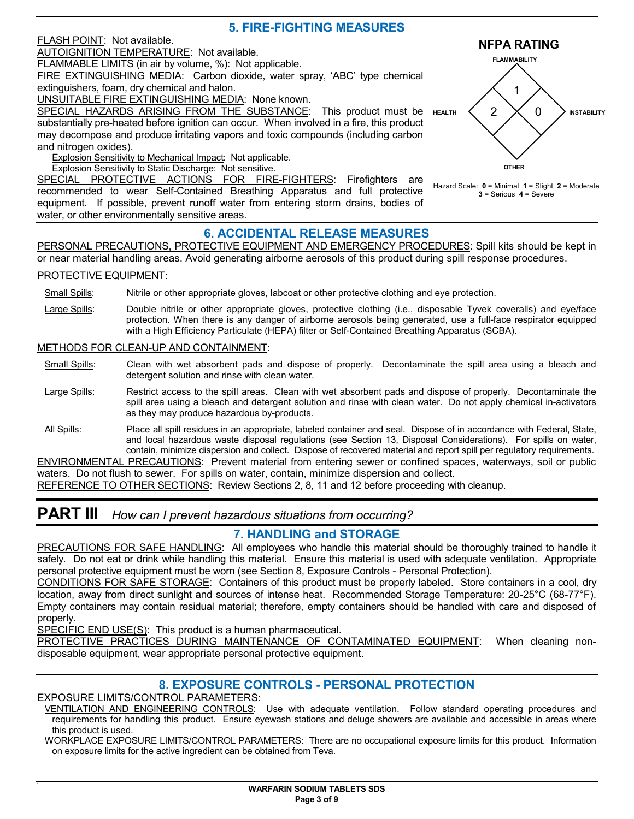# **5. FIRE-FIGHTING MEASURES**

#### FLASH POINT: Not available.

AUTOIGNITION TEMPERATURE: Not available.

FLAMMABLE LIMITS (in air by volume, %): Not applicable.

FIRE EXTINGUISHING MEDIA: Carbon dioxide, water spray, 'ABC' type chemical extinguishers, foam, dry chemical and halon.

UNSUITABLE FIRE EXTINGUISHING MEDIA: None known.

SPECIAL HAZARDS ARISING FROM THE SUBSTANCE: This product must be HEALTH  $\langle$  2 substantially pre-heated before ignition can occur. When involved in a fire, this product may decompose and produce irritating vapors and toxic compounds (including carbon and nitrogen oxides).

Explosion Sensitivity to Mechanical Impact: Not applicable.

Explosion Sensitivity to Static Discharge: Not sensitive.

SPECIAL PROTECTIVE ACTIONS FOR FIRE-FIGHTERS: Firefighters are recommended to wear Self-Contained Breathing Apparatus and full protective equipment. If possible, prevent runoff water from entering storm drains, bodies of water, or other environmentally sensitive areas.

### **6. ACCIDENTAL RELEASE MEASURES**

PERSONAL PRECAUTIONS, PROTECTIVE EQUIPMENT AND EMERGENCY PROCEDURES: Spill kits should be kept in or near material handling areas. Avoid generating airborne aerosols of this product during spill response procedures.

#### PROTECTIVE EQUIPMENT:

Small Spills: Nitrile or other appropriate gloves, labcoat or other protective clothing and eye protection.

Large Spills: Double nitrile or other appropriate gloves, protective clothing (i.e., disposable Tyvek coveralls) and eye/face protection. When there is any danger of airborne aerosols being generated, use a full-face respirator equipped with a High Efficiency Particulate (HEPA) filter or Self-Contained Breathing Apparatus (SCBA).

#### METHODS FOR CLEAN-UP AND CONTAINMENT:

- Small Spills: Clean with wet absorbent pads and dispose of properly. Decontaminate the spill area using a bleach and detergent solution and rinse with clean water.
- Large Spills: Restrict access to the spill areas. Clean with wet absorbent pads and dispose of properly. Decontaminate the spill area using a bleach and detergent solution and rinse with clean water. Do not apply chemical in-activators as they may produce hazardous by-products.
- All Spills: Place all spill residues in an appropriate, labeled container and seal. Dispose of in accordance with Federal, State, and local hazardous waste disposal regulations (see Section 13, Disposal Considerations). For spills on water, contain, minimize dispersion and collect. Dispose of recovered material and report spill per regulatory requirements.

ENVIRONMENTAL PRECAUTIONS: Prevent material from entering sewer or confined spaces, waterways, soil or public waters. Do not flush to sewer. For spills on water, contain, minimize dispersion and collect.

REFERENCE TO OTHER SECTIONS: Review Sections 2, 8, 11 and 12 before proceeding with cleanup.

# **PART III** *How can I prevent hazardous situations from occurring?*

#### **7. HANDLING and STORAGE**

PRECAUTIONS FOR SAFE HANDLING: All employees who handle this material should be thoroughly trained to handle it safely. Do not eat or drink while handling this material. Ensure this material is used with adequate ventilation. Appropriate personal protective equipment must be worn (see Section 8, Exposure Controls - Personal Protection).

CONDITIONS FOR SAFE STORAGE: Containers of this product must be properly labeled. Store containers in a cool, dry location, away from direct sunlight and sources of intense heat. Recommended Storage Temperature: 20-25°C (68-77°F). Empty containers may contain residual material; therefore, empty containers should be handled with care and disposed of properly.

SPECIFIC END USE(S): This product is a human pharmaceutical.

PROTECTIVE PRACTICES DURING MAINTENANCE OF CONTAMINATED EQUIPMENT: When cleaning nondisposable equipment, wear appropriate personal protective equipment.

### **8. EXPOSURE CONTROLS - PERSONAL PROTECTION**

EXPOSURE LIMITS/CONTROL PARAMETERS:

VENTILATION AND ENGINEERING CONTROLS: Use with adequate ventilation. Follow standard operating procedures and requirements for handling this product. Ensure eyewash stations and deluge showers are available and accessible in areas where this product is used.

WORKPLACE EXPOSURE LIMITS/CONTROL PARAMETERS: There are no occupational exposure limits for this product. Information on exposure limits for the active ingredient can be obtained from Teva.



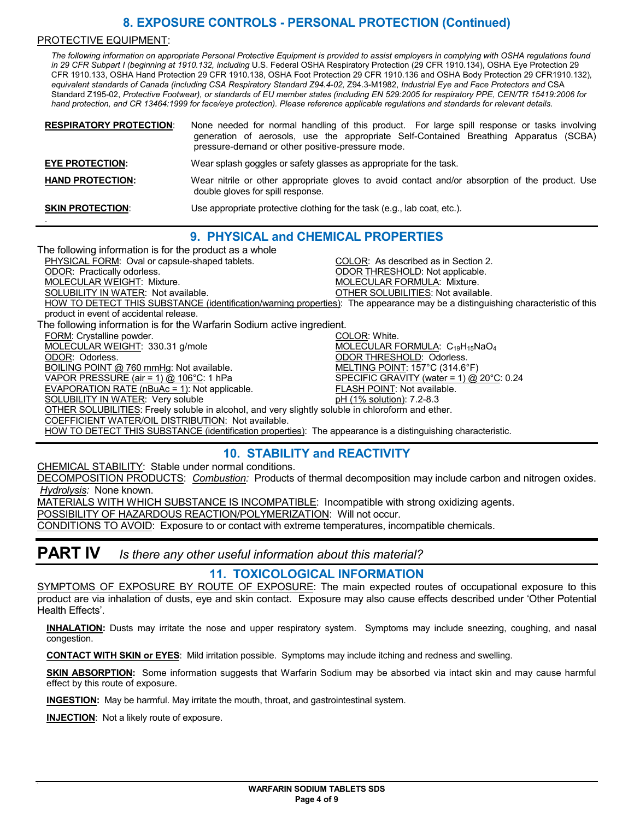## **8. EXPOSURE CONTROLS - PERSONAL PROTECTION (Continued)**

#### PROTECTIVE EQUIPMENT:

*The following information on appropriate Personal Protective Equipment is provided to assist employers in complying with OSHA regulations found in 29 CFR Subpart I (beginning at 1910.132, including* U.S. Federal OSHA Respiratory Protection (29 CFR 1910.134), OSHA Eye Protection 29 CFR 1910.133, OSHA Hand Protection 29 CFR 1910.138, OSHA Foot Protection 29 CFR 1910.136 and OSHA Body Protection 29 CFR1910.132)*, equivalent standards of Canada (including CSA Respiratory Standard Z94.4-02,* Z94.3-M1982, *Industrial Eye and Face Protectors and* CSA Standard Z195-02, *Protective Footwear), or standards of EU member states (including EN 529:2005 for respiratory PPE, CEN/TR 15419:2006 for hand protection, and CR 13464:1999 for face/eye protection). Please reference applicable regulations and standards for relevant details.*

| <b>RESPIRATORY PROTECTION:</b> | None needed for normal handling of this product. For large spill response or tasks involving<br>generation of aerosols, use the appropriate Self-Contained Breathing Apparatus (SCBA)<br>pressure-demand or other positive-pressure mode. |  |  |  |  |  |  |
|--------------------------------|-------------------------------------------------------------------------------------------------------------------------------------------------------------------------------------------------------------------------------------------|--|--|--|--|--|--|
| <b>EYE PROTECTION:</b>         | Wear splash goggles or safety glasses as appropriate for the task.                                                                                                                                                                        |  |  |  |  |  |  |
| <b>HAND PROTECTION:</b>        | Wear nitrile or other appropriate gloves to avoid contact and/or absorption of the product. Use<br>double gloves for spill response.                                                                                                      |  |  |  |  |  |  |
| <b>SKIN PROTECTION:</b>        | Use appropriate protective clothing for the task (e.g., lab coat, etc.).                                                                                                                                                                  |  |  |  |  |  |  |

### **9. PHYSICAL and CHEMICAL PROPERTIES**

The following information is for the product as a whole PHYSICAL FORM: Oval or capsule-shaped tablets. COLOR: As described as in Section 2.<br>
ODOR: Practically odorless. COLOR: Practically odorless. ODOR THRESHOLD: Not applicable. MOLECULAR WEIGHT: Mixture. **MOLECULAR FORMULA: Mixture.** Mixture. SOLUBILITY IN WATER: Not available. **OTHER SOLUBILITIES:** Not available. HOW TO DETECT THIS SUBSTANCE (identification/warning properties): The appearance may be a distinguishing characteristic of this product in event of accidental release. The following information is for the Warfarin Sodium active ingredient. FORM: Crystalline powder. The color of the color of the color of the color of the color of the color of the color of the color of the color of the color of the color of the color of the color of the color of the color of t MOLECULAR WEIGHT: 330.31 g/mole MOLECULAR FORMULA:  $C_{19}H_{15}NaO<sub>4</sub>$ ODOR: Odorless. ODOR THRESHOLD: Odorless. BOILING POINT @ 760 mmHg: Not available. VAPOR PRESSURE (air = 1) @ 106°C: 1 hPa SPECIFIC GRAVITY (water = 1) @ 20°C: 0.24 EVAPORATION RATE (nBuAc = 1): Not applicable. FLASH POINT: Not available. SOLUBILITY IN WATER: Very soluble **philophysis of the COLUBILITY IN WATER:** Very solution): 7.2-8.3 OTHER SOLUBILITIES: Freely soluble in alcohol, and very slightly soluble in chloroform and ether. COEFFICIENT WATER/OIL DISTRIBUTION: Not available. HOW TO DETECT THIS SUBSTANCE (identification properties): The appearance is a distinguishing characteristic.

# **10. STABILITY and REACTIVITY**

CHEMICAL STABILITY: Stable under normal conditions.

DECOMPOSITION PRODUCTS: *Combustion:* Products of thermal decomposition may include carbon and nitrogen oxides. *Hydrolysis:* None known.

MATERIALS WITH WHICH SUBSTANCE IS INCOMPATIBLE: Incompatible with strong oxidizing agents.

POSSIBILITY OF HAZARDOUS REACTION/POLYMERIZATION: Will not occur.

CONDITIONS TO AVOID: Exposure to or contact with extreme temperatures, incompatible chemicals.

# **PART IV** *Is there any other useful information about this material?*

#### **11. TOXICOLOGICAL INFORMATION**

SYMPTOMS OF EXPOSURE BY ROUTE OF EXPOSURE: The main expected routes of occupational exposure to this product are via inhalation of dusts, eye and skin contact. Exposure may also cause effects described under 'Other Potential Health Effects'.

**INHALATION:** Dusts may irritate the nose and upper respiratory system. Symptoms may include sneezing, coughing, and nasal congestion.

**CONTACT WITH SKIN or EYES**: Mild irritation possible. Symptoms may include itching and redness and swelling.

**SKIN ABSORPTION:** Some information suggests that Warfarin Sodium may be absorbed via intact skin and may cause harmful effect by this route of exposure.

**INGESTION:** May be harmful. May irritate the mouth, throat, and gastrointestinal system.

**INJECTION**: Not a likely route of exposure.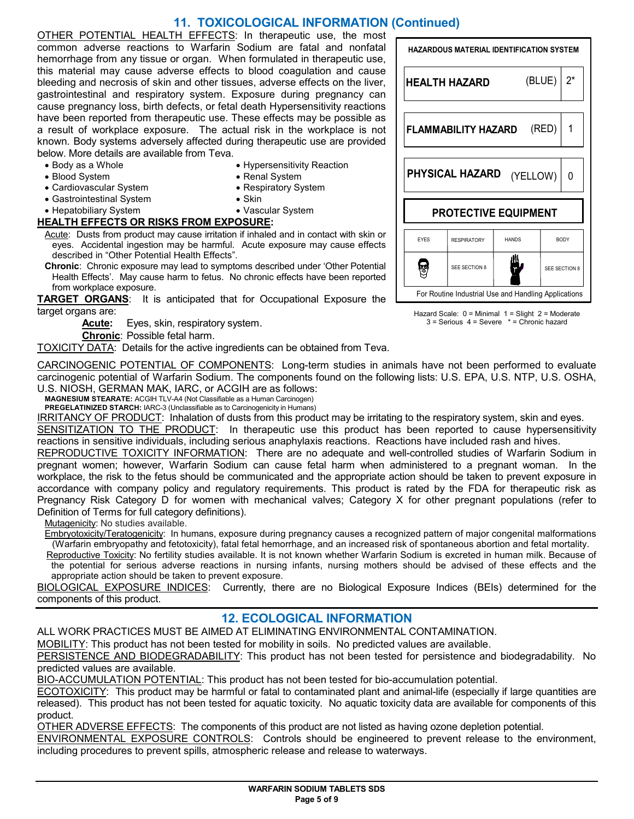# **11. TOXICOLOGICAL INFORMATION (Continued)**

OTHER POTENTIAL HEALTH EFFECTS: In therapeutic use, the most common adverse reactions to Warfarin Sodium are fatal and nonfatal hemorrhage from any tissue or organ. When formulated in therapeutic use, this material may cause adverse effects to blood coagulation and cause bleeding and necrosis of skin and other tissues, adverse effects on the liver, gastrointestinal and respiratory system. Exposure during pregnancy can cause pregnancy loss, birth defects, or fetal death Hypersensitivity reactions have been reported from therapeutic use. These effects may be possible as a result of workplace exposure. The actual risk in the workplace is not known. Body systems adversely affected during therapeutic use are provided below. More details are available from Teva.

- Body as a Whole
- Blood System
- Cardiovascular System
- Gastrointestinal System
- Renal System • Respiratory System • Skin

• Hypersensitivity Reaction

- Hepatobiliary System
- Vascular System

#### **HEALTH EFFECTS OR RISKS FROM EXPOSURE:**

Acute: Dusts from product may cause irritation if inhaled and in contact with skin or eyes. Accidental ingestion may be harmful. Acute exposure may cause effects described in "Other Potential Health Effects".

**Chronic**: Chronic exposure may lead to symptoms described under 'Other Potential Health Effects'. May cause harm to fetus. No chronic effects have been reported from workplace exposure.

**TARGET ORGANS:** It is anticipated that for Occupational Exposure the L target organs are:

**Acute:** Eyes, skin, respiratory system.

**Chronic**: Possible fetal harm.

TOXICITY DATA: Details for the active ingredients can be obtained from Teva.

CARCINOGENIC POTENTIAL OF COMPONENTS: Long-term studies in animals have not been performed to evaluate carcinogenic potential of Warfarin Sodium. The components found on the following lists: U.S. EPA, U.S. NTP, U.S. OSHA, U.S. NIOSH, GERMAN MAK, IARC, or ACGIH are as follows:

**MAGNESIUM STEARATE:** ACGIH TLV-A4 (Not Classifiable as a Human Carcinogen)

**PREGELATINIZED STARCH:** IARC-3 (Unclassifiable as to Carcinogenicity in Humans)

IRRITANCY OF PRODUCT: Inhalation of dusts from this product may be irritating to the respiratory system, skin and eyes.

SENSITIZATION TO THE PRODUCT: In therapeutic use this product has been reported to cause hypersensitivity reactions in sensitive individuals, including serious anaphylaxis reactions. Reactions have included rash and hives.

REPRODUCTIVE TOXICITY INFORMATION: There are no adequate and well-controlled studies of Warfarin Sodium in pregnant women; however, Warfarin Sodium can cause fetal harm when administered to a pregnant woman. In the workplace, the risk to the fetus should be communicated and the appropriate action should be taken to prevent exposure in accordance with company policy and regulatory requirements. This product is rated by the FDA for therapeutic risk as Pregnancy Risk Category D for women with mechanical valves; Category X for other pregnant populations (refer to Definition of Terms for full category definitions).

Mutagenicity: No studies available.

Embryotoxicity/Teratogenicity: In humans, exposure during pregnancy causes a recognized pattern of major congenital malformations (Warfarin embryopathy and fetotoxicity), fatal fetal hemorrhage, and an increased risk of spontaneous abortion and fetal mortality.

Reproductive Toxicity: No fertility studies available. It is not known whether Warfarin Sodium is excreted in human milk. Because of the potential for serious adverse reactions in nursing infants, nursing mothers should be advised of these effects and the appropriate action should be taken to prevent exposure.

BIOLOGICAL EXPOSURE INDICES: Currently, there are no Biological Exposure Indices (BEIs) determined for the components of this product.

### **12. ECOLOGICAL INFORMATION**

ALL WORK PRACTICES MUST BE AIMED AT ELIMINATING ENVIRONMENTAL CONTAMINATION.

MOBILITY: This product has not been tested for mobility in soils. No predicted values are available.

PERSISTENCE AND BIODEGRADABILITY: This product has not been tested for persistence and biodegradability. No predicted values are available.

BIO-ACCUMULATION POTENTIAL: This product has not been tested for bio-accumulation potential.

ECOTOXICITY: This product may be harmful or fatal to contaminated plant and animal-life (especially if large quantities are released). This product has not been tested for aquatic toxicity. No aquatic toxicity data are available for components of this product.

OTHER ADVERSE EFFECTS: The components of this product are not listed as having ozone depletion potential.

ENVIRONMENTAL EXPOSURE CONTROLS: Controls should be engineered to prevent release to the environment, including procedures to prevent spills, atmospheric release and release to waterways.

| <b>HAZARDOUS MATERIAL IDENTIFICATION SYSTEM</b> |                                                      |              |               |       |  |  |  |  |
|-------------------------------------------------|------------------------------------------------------|--------------|---------------|-------|--|--|--|--|
|                                                 | <b>HEALTH HAZARD</b>                                 | (BLUE)       |               | $2^*$ |  |  |  |  |
| (RED)<br>FLAMMABILITY HAZARD                    |                                                      |              |               |       |  |  |  |  |
| PHYSICAL HAZARD<br>(YELLOW)                     |                                                      |              |               |       |  |  |  |  |
| <b>PROTECTIVE EQUIPMENT</b>                     |                                                      |              |               |       |  |  |  |  |
| <b>FYFS</b>                                     | <b>RESPIRATORY</b>                                   | <b>HANDS</b> | <b>BODY</b>   |       |  |  |  |  |
|                                                 | SEE SECTION 8                                        |              | SEE SECTION 8 |       |  |  |  |  |
|                                                 | For Routine Industrial Use and Handling Applications |              |               |       |  |  |  |  |

Hazard Scale: 0 = Minimal 1 = Slight 2 = Moderate 3 = Serious 4 = Severe \* = Chronic hazard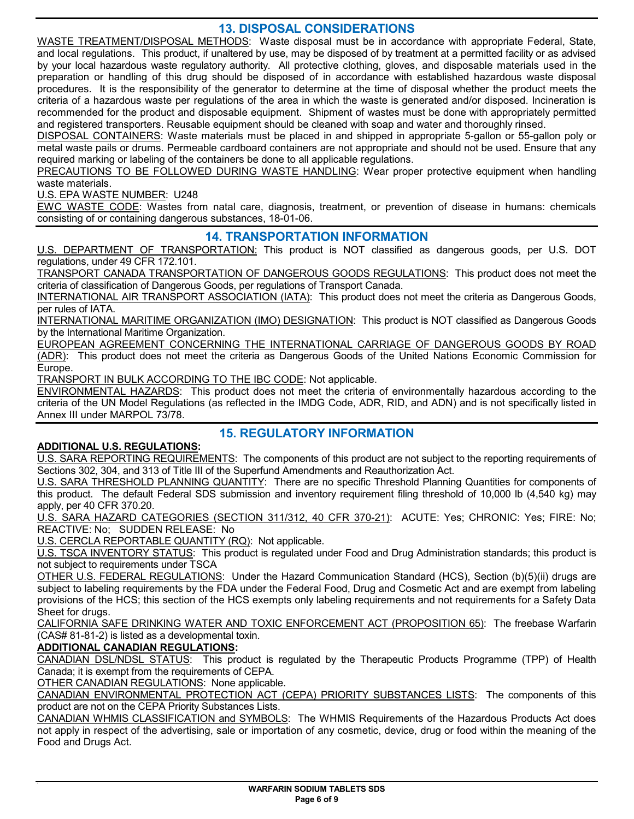### **13. DISPOSAL CONSIDERATIONS**

WASTE TREATMENT/DISPOSAL METHODS: Waste disposal must be in accordance with appropriate Federal, State, and local regulations. This product, if unaltered by use, may be disposed of by treatment at a permitted facility or as advised by your local hazardous waste regulatory authority. All protective clothing, gloves, and disposable materials used in the preparation or handling of this drug should be disposed of in accordance with established hazardous waste disposal procedures. It is the responsibility of the generator to determine at the time of disposal whether the product meets the criteria of a hazardous waste per regulations of the area in which the waste is generated and/or disposed. Incineration is recommended for the product and disposable equipment. Shipment of wastes must be done with appropriately permitted and registered transporters. Reusable equipment should be cleaned with soap and water and thoroughly rinsed.

DISPOSAL CONTAINERS: Waste materials must be placed in and shipped in appropriate 5-gallon or 55-gallon poly or metal waste pails or drums. Permeable cardboard containers are not appropriate and should not be used. Ensure that any required marking or labeling of the containers be done to all applicable regulations.

PRECAUTIONS TO BE FOLLOWED DURING WASTE HANDLING: Wear proper protective equipment when handling waste materials.

U.S. EPA WASTE NUMBER: U248

EWC WASTE CODE: Wastes from natal care, diagnosis, treatment, or prevention of disease in humans: chemicals consisting of or containing dangerous substances, 18-01-06.

### **14. TRANSPORTATION INFORMATION**

U.S. DEPARTMENT OF TRANSPORTATION: This product is NOT classified as dangerous goods, per U.S. DOT regulations, under 49 CFR 172.101.

TRANSPORT CANADA TRANSPORTATION OF DANGEROUS GOODS REGULATIONS: This product does not meet the criteria of classification of Dangerous Goods, per regulations of Transport Canada.

INTERNATIONAL AIR TRANSPORT ASSOCIATION (IATA): This product does not meet the criteria as Dangerous Goods, per rules of IATA.

INTERNATIONAL MARITIME ORGANIZATION (IMO) DESIGNATION: This product is NOT classified as Dangerous Goods by the International Maritime Organization.

EUROPEAN AGREEMENT CONCERNING THE INTERNATIONAL CARRIAGE OF DANGEROUS GOODS BY ROAD (ADR): This product does not meet the criteria as Dangerous Goods of the United Nations Economic Commission for Europe.

TRANSPORT IN BULK ACCORDING TO THE IBC CODE: Not applicable.

ENVIRONMENTAL HAZARDS: This product does not meet the criteria of environmentally hazardous according to the criteria of the UN Model Regulations (as reflected in the IMDG Code, ADR, RID, and ADN) and is not specifically listed in Annex III under MARPOL 73/78.

### **15. REGULATORY INFORMATION**

### **ADDITIONAL U.S. REGULATIONS:**

U.S. SARA REPORTING REQUIREMENTS: The components of this product are not subject to the reporting requirements of Sections 302, 304, and 313 of Title III of the Superfund Amendments and Reauthorization Act.

U.S. SARA THRESHOLD PLANNING QUANTITY: There are no specific Threshold Planning Quantities for components of this product. The default Federal SDS submission and inventory requirement filing threshold of 10,000 lb (4,540 kg) may apply, per 40 CFR 370.20.

U.S. SARA HAZARD CATEGORIES (SECTION 311/312, 40 CFR 370-21): ACUTE: Yes; CHRONIC: Yes; FIRE: No; REACTIVE: No; SUDDEN RELEASE: No

U.S. CERCLA REPORTABLE QUANTITY (RQ): Not applicable.

U.S. TSCA INVENTORY STATUS: This product is regulated under Food and Drug Administration standards; this product is not subject to requirements under TSCA

OTHER U.S. FEDERAL REGULATIONS: Under the Hazard Communication Standard (HCS), Section (b)(5)(ii) drugs are subject to labeling requirements by the FDA under the Federal Food, Drug and Cosmetic Act and are exempt from labeling provisions of the HCS; this section of the HCS exempts only labeling requirements and not requirements for a Safety Data Sheet for drugs.

CALIFORNIA SAFE DRINKING WATER AND TOXIC ENFORCEMENT ACT (PROPOSITION 65): The freebase Warfarin (CAS# 81-81-2) is listed as a developmental toxin.

### **ADDITIONAL CANADIAN REGULATIONS:**

CANADIAN DSL/NDSL STATUS: This product is regulated by the Therapeutic Products Programme (TPP) of Health Canada; it is exempt from the requirements of CEPA.

OTHER CANADIAN REGULATIONS: None applicable.

CANADIAN ENVIRONMENTAL PROTECTION ACT (CEPA) PRIORITY SUBSTANCES LISTS: The components of this product are not on the CEPA Priority Substances Lists.

CANADIAN WHMIS CLASSIFICATION and SYMBOLS: The WHMIS Requirements of the Hazardous Products Act does not apply in respect of the advertising, sale or importation of any cosmetic, device, drug or food within the meaning of the Food and Drugs Act.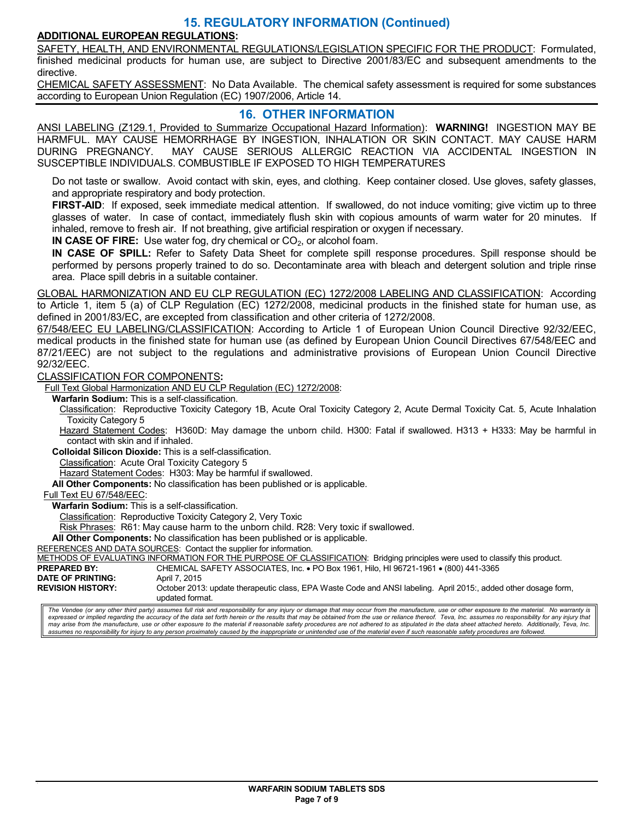### **15. REGULATORY INFORMATION (Continued)**

### **ADDITIONAL EUROPEAN REGULATIONS:**

SAFETY, HEALTH, AND ENVIRONMENTAL REGULATIONS/LEGISLATION SPECIFIC FOR THE PRODUCT: Formulated, finished medicinal products for human use, are subject to Directive 2001/83/EC and subsequent amendments to the directive.

CHEMICAL SAFETY ASSESSMENT: No Data Available. The chemical safety assessment is required for some substances according to European Union Regulation (EC) 1907/2006, Article 14.

### **16. OTHER INFORMATION**

ANSI LABELING (Z129.1, Provided to Summarize Occupational Hazard Information): **WARNING!** INGESTION MAY BE HARMFUL. MAY CAUSE HEMORRHAGE BY INGESTION, INHALATION OR SKIN CONTACT. MAY CAUSE HARM DURING PREGNANCY. MAY CAUSE SERIOUS ALLERGIC REACTION VIA ACCIDENTAL INGESTION IN SUSCEPTIBLE INDIVIDUALS. COMBUSTIBLE IF EXPOSED TO HIGH TEMPERATURES

Do not taste or swallow. Avoid contact with skin, eyes, and clothing. Keep container closed. Use gloves, safety glasses, and appropriate respiratory and body protection.

**FIRST-AID**: If exposed, seek immediate medical attention. If swallowed, do not induce vomiting; give victim up to three glasses of water. In case of contact, immediately flush skin with copious amounts of warm water for 20 minutes. If inhaled, remove to fresh air. If not breathing, give artificial respiration or oxygen if necessary.

**IN CASE OF FIRE:** Use water fog, dry chemical or CO<sub>2</sub>, or alcohol foam.

**IN CASE OF SPILL:** Refer to Safety Data Sheet for complete spill response procedures. Spill response should be performed by persons properly trained to do so. Decontaminate area with bleach and detergent solution and triple rinse area. Place spill debris in a suitable container.

GLOBAL HARMONIZATION AND EU CLP REGULATION (EC) 1272/2008 LABELING AND CLASSIFICATION: According to Article 1, item 5 (a) of CLP Regulation (EC) 1272/2008, medicinal products in the finished state for human use, as defined in 2001/83/EC, are excepted from classification and other criteria of 1272/2008.

67/548/EEC EU LABELING/CLASSIFICATION: According to Article 1 of European Union Council Directive 92/32/EEC, medical products in the finished state for human use (as defined by European Union Council Directives 67/548/EEC and 87/21/EEC) are not subject to the regulations and administrative provisions of European Union Council Directive 92/32/EEC.

CLASSIFICATION FOR COMPONENTS**:** 

Full Text Global Harmonization AND EU CLP Regulation (EC) 1272/2008:

**Warfarin Sodium:** This is a self-classification.

Classification: Reproductive Toxicity Category 1B, Acute Oral Toxicity Category 2, Acute Dermal Toxicity Cat. 5, Acute Inhalation Toxicity Category 5

Hazard Statement Codes: H360D: May damage the unborn child. H300: Fatal if swallowed. H313 + H333: May be harmful in contact with skin and if inhaled.

**Colloidal Silicon Dioxide:** This is a self-classification.

Classification: Acute Oral Toxicity Category 5

Hazard Statement Codes: H303: May be harmful if swallowed.

**All Other Components:** No classification has been published or is applicable.

Full Text EU 67/548/EEC:

**Warfarin Sodium:** This is a self-classification.

Classification: Reproductive Toxicity Category 2, Very Toxic

Risk Phrases: R61: May cause harm to the unborn child. R28: Very toxic if swallowed.

**All Other Components:** No classification has been published or is applicable.

REFERENCES AND DATA SOURCES: Contact the supplier for information.

METHODS OF EVALUATING INFORMATION FOR THE PURPOSE OF CLASSIFICATION: Bridging principles were used to classify this product.<br>**PREPARED BY:** CHEMICAL SAFETY ASSOCIATES, Inc. • PO Box 1961, Hilo, HI 96721-1961 • (800) 441-33

**PREPARED BY:** CHEMICAL SAFETY ASSOCIATES, Inc. • PO Box 1961, Hilo, HI 96721-1961 • (800) 441-3365

**DATE OF PRINTING:** April 7, 2015<br> **REVISION HISTORY:** October 2013

October 2013: update therapeutic class, EPA Waste Code and ANSI labeling. April 2015:, added other dosage form, updated format.

The Vendee (or any other third party) assumes full risk and responsibility for any injury or damage that may occur from the manufacture, use or other exposure to the material. No warranty is expressed or implied regarding the accuracy of the data set forth herein or the results that may be obtained from the use or reliance thereof. Teva, Inc. assumes no responsibility for any injury that *may arise from the manufacture, use or other exposure to the material if reasonable safety procedures are not adhered to as stipulated in the data sheet attached hereto. Additionally, Teva, Inc. assumes no responsibility for injury to any person proximately caused by the inappropriate or unintended use of the material even if such reasonable safety procedures are followed.*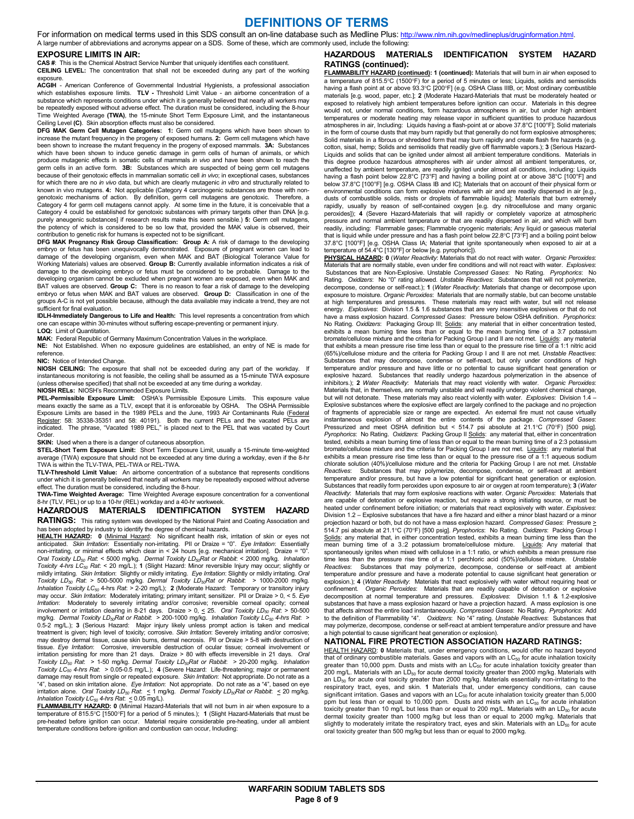### **DEFINITIONS OF TERMS**

For information on medical terms used in this SDS consult an on-line database such as Medline Plus: http://www.nlm.nih.gov/medlineplus/druginformation.html. A large number of abbreviations and acronyms appear on a SDS. Some of these, which are commonly used, include the following:

#### **EXPOSURE LIMITS IN AIR:**

**CAS #**: This is the Chemical Abstract Service Number that uniquely identifies each constituent.

**CEILING LEVEL:** The concentration that shall not be exceeded during any part of the working exposure.<br>**ACGIH** - American Conference of Governmental Industrial Hygienists, a professional association

which establishes exposure limits. **TLV -** Threshold Limit Value - an airborne concentration of a substance which represents conditions under which it is generally believed that nearly all workers may be repeatedly exposed without adverse effect. The duration must be considered, including the 8-hour Time Weighted Average **(TWA)**, the 15-minute Short Term Exposure Limit, and the instantaneous Ceiling Level **(C)**. Skin absorption effects must also be considered.

**DFG MAK Germ Cell Mutagen Categories: 1:** Germ cell mutagens which have been shown to increase the mutant frequency in the progeny of exposed humans. **2:** Germ cell mutagens which have been shown to increase the mutant frequency in the progeny of exposed mammals. **3A:** Substances which have been shown to induce genetic damage in germ cells of human of animals, or which produce mutagenic effects in somatic cells of mammals *in vivo* and have been shown to reach the germ cells in an active form. **3B:** Substances which are suspected of being germ cell mutagens because of their genotoxic effects in mammalian somatic cell *in vivo*; in exceptional cases, substances for which there are no *in vivo* data, but which are clearly mutagenic *in vitro* and structurally related to known in vivo mutagens. **4:** Not applicable (Category 4 carcinogenic substances are those with nongenotoxic mechanisms of action. By definition, germ cell mutagens are genotoxic. Therefore, a Category 4 for germ cell mutagens cannot apply. At some time in the future, it is conceivable that a Category 4 could be established for genotoxic substances with primary targets other than DNA [e.g. purely aneugenic substances] if research results make this seem sensible.) **5:** Germ cell mutagens, the potency of which is considered to be so low that, provided the MAK value is observed, their contribution to genetic risk for humans is expected not to be significant.

**DFG MAK Pregnancy Risk Group Classification: Group A:** A risk of damage to the developing embryo or fetus has been unequivocally demonstrated. Exposure of pregnant women can lead to damage of the developing organism, even when MAK and BAT (Biological Tolerance Value for Working Materials) values are observed. **Group B:** Currently available information indicates a risk of damage to the developing embryo or fetus must be considered to be probable. Damage to the developing organism cannot be excluded when pregnant women are exposed, even when MAK and BAT values are observed. **Group C:** There is no reason to fear a risk of damage to the developing embryo or fetus when MAK and BAT values are observed. **Group D:** Classification in one of the groups A-C is not yet possible because, although the data available may indicate a trend, they are not sufficient for final evaluation.

**IDLH-Immediately Dangerous to Life and Health:** This level represents a concentration from which one can escape within 30-minutes without suffering escape-preventing or permanent injury.

#### **LOQ:** Limit of Quantitation.

**MAK:** Federal Republic of Germany Maximum Concentration Values in the workplace. **NE:** Not Established. When no exposure guidelines are established, an entry of NE is made for reference.

#### **NIC:** Notice of Intended Change.

**NIOSH CEILING:** The exposure that shall not be exceeded during any part of the workday. If instantaneous monitoring is not feasible, the ceiling shall be assumed as a 15-minute TWA exposure (unless otherwise specified) that shall not be exceeded at any time during a workday.

#### **NIOSH RELs:** NIOSH's Recommended Exposure Limits.

**PEL-Permissible Exposure Limit:** OSHA's Permissible Exposure Limits. This exposure value means exactly the same as a TLV, except that it is enforceable by OSHA. The OSHA Permissible Exposure Limits are based in the 1989 PELs and the June, 1993 Air Contaminants Rule (<u>Federal</u><br><u>Register</u>: 58: 35338-35351 and 58: 40191). Both the current PELs and the vacated PELs are<br>indicated. The phrase, "Vacated 1989 **Order** 

#### **SKIN:** Used when a there is a danger of cutaneous absorption.

**STEL-Short Term Exposure Limit:** Short Term Exposure Limit, usually a 15-minute time-weighted average (TWA) exposure that should not be exceeded at any time during a workday, even if the 8-hr TWA is within the TLV-TWA, PEL-TWA or REL-TWA.

**TLV-Threshold Limit Value:** An airborne concentration of a substance that represents conditions under which it is generally believed that nearly all workers may be repeatedly exposed without adverse

effect. The duration must be considered, including the 8-hour. **TWA-Time Weighted Average:** T**i**me Weighted Average exposure concentration for a conventional 8-hr (TLV, PEL) or up to a 10-hr (REL) workday and a 40-hr workweek.

# **HAZARDOUS MATERIALS IDENTIFICATION SYSTEM HAZARD**

**RATINGS:** This rating system was developed by the National Paint and Coating Association and has been adopted by industry to identify the degree of chemical hazards. **HEALTH HAZARD: 0** (Minimal Hazard: No significant health risk, irritation of skin or eyes not<br>anticipated. S*kin Irritation*: Essentially non-irritating. PII or Draize = "0". *Eye Irritation*: Essentially non-irritating, or minimal effects which clear in < 24 hours [e.g. mechanical irritation]. Draize = "0".<br>*Oral Toxicity LD<sub>50</sub> Rat. < 5*000 mg/kg. *Dermal Toxicity LD<sub>50</sub>Rat or Rabbit. < 2000 mg/kg. Inhalation Toxicity 4-hrs LC50 Rat*: < 20 mg/L.); **1** (Slight Hazard: Minor reversible Injury may occur; slightly or mildly irritating. *Skin Irritation*: Slightly or mildly irritating. *Eye Irritation*: Slightly or mildly irritating. *Oral*  Toxicity LD<sub>s0</sub> Rat. > 500-5000 mg/kg. Dermal Toxicity LD<sub>so</sub>Rat or Rabbit: > 1000-2000 mg/kg.<br>Inhalation Toxicity LC<sub>s0</sub> 4-hrs Rat. > 2-20 mg/L); **2** (Moderate Hazard: Temporary or transitory injury may occur. *Skin Irritation*: Moderately irritating; primary irritant; sensitizer. PII or Draize > 0, < 5. *Eye Irritation*: Moderately to severely irritating and/or corrosive; reversible corneal opacity; corneal involvement or irritation clearing in 8-21 days. Draize > 0, <u><</u> 25. *Oral Toxicity LD<sub>89</sub> Rat*: > 50-500<br>mg/kg. Dermal Toxicity LD<sub>89</sub>Rat or Rabbit: > 200-1000 mg/kg. Inhalation Toxicity LC<sub>50</sub> 4-hrs Rat: ><br>0.5-2 mg/L.); treatment is given; high level of toxicity; corrosive. *Skin Irritation*: Severely irritating and/or corrosive;<br>may destroy dermal tissue, cause skin burns, dermal necrosis. PII or Draize > 5-8 with destruction of tissue. *Eye Irritation*: Corrosive, irreversible destruction of ocular tissue; corneal involvement or irritation persisting for more than 21 days. Draize > 80 with effects irreversible in 21 days. *Oral*<br>T*oxicity LD<sub>so</sub> Rat: >* 1-50 mg/kg. Der*mal Toxicity LD<sub>SO</sub>Rat or Rabbit: >* 20-200 mg/kg. I*nhalation*<br>T*oxicity LC<sub>so*</sub> damage may result from single or repeated exposure. *Skin Irritation*: Not appropriate. Do not rate as a "4", based on skin irritation alone. *Eye Irritation*: Not appropriate. Do not rate as a "4", based on eye<br>irritation alone. *Oral Toxicity LD<sub>so</sub> Rat*: ≤ 1 mg/kg. *Dermal Toxicity LD<sub>89</sub>Rat or Rabbit*: ≤ 20 mg/kg.<br>*Inhal* 

**FLAMMABILITY HAZARD: 0** (Minimal Hazard-Materials that will not burn in air when exposure to a temperature of 815.5°C [1500°F] for a period of 5 minutes.); **1** (Slight Hazard-Materials that must be pre-heated before ignition can occur. Material require considerable pre-heating, under all ambient temperature conditions before ignition and combustion can occur, Including:

#### **HAZARDOUS MATERIALS IDENTIFICATION SYSTEM HAZARD RATINGS (continued):**

**FLAMMABILITY HAZARD (continued): 1 (continued):** Materials that will burn in air when exposed to a temperature of 815.5°C (1500°F) for a period of 5 minutes or less; Liquids, solids and semisolids<br>having a flash point at or above 93.3°C [200°F] (e.g. OSHA Class IIIB, or; Most ordinary combustible<br>materials [e.g. wood, exposed to relatively high ambient temperatures before ignition can occur. Materials in this degree would not, under normal conditions, form hazardous atmospheres in air, but under high ambient temperatures or moderate heating may release vapor in sufficient quantities to produce hazardous atmospheres in air, Including: Liquids having a flash-point at or above 37.8°C [100°F]; Solid materials in the form of course dusts that may burn rapidly but that generally do not form explosive atmospheres; Solid materials in a fibrous or shredded form that may burn rapidly and create flash fire hazards (e.g. cotton, sisal, hemp; Solids and semisolids that readily give off flammable vapors.); **3** (Serious Hazard-Liquids and solids that can be ignited under almost all ambient temperature conditions. Materials in this degree produce hazardous atmospheres with air under almost all ambient temperatures, or, unaffected by ambient temperature, are readily ignited under almost all conditions, including: Liquids having a flash point below 22.8°C [73°F] and having a boiling point at or above 38°C [100°F] and below 37.8°C [100°F] [e.g. OSHA Class IB and IC]; Materials that on account of their physical form or environmental conditions can form explosive mixtures with air and are readily dispersed in air [e.g., dusts of combustible solids, mists or droplets of flammable liquids]; Materials that burn extremely rapidly, usually by reason of self-contained oxygen [e.g. dry nitrocellulose and many organic peroxides]); **4** (Severe Hazard-Materials that will rapidly or completely vaporize at atmospheric pressure and normal ambient temperature or that are readily dispersed in air, and which will burn readily, including: Flammable gases; Flammable cryogenic materials; Any liquid or gaseous material that is liquid while under pressure and has a flash point below 22.8°C [73°F] and a boiling point below 37.8°C [100°F] [e.g. OSHA Class IA; Material that ignite spontaneously when exposed to air at a

temperature of 54.4°C [130°F] or below [e.g. pyrophoric]). **PHYSICAL HAZARD: 0** (*Water Reactivity*: Materials that do not react with water. *Organic Peroxides*: Materials that are normally stable, even under fire conditions and will not react with water. *Explosives*: Substances that are Non-Explosive. Unstable *Compressed Gases*: No Rating. *Pyrophorics*: No Rating. Oxidizers: No "0" rating allowed. Unstable Reactives: Substances that will not polymerize,<br>decompose, condense or self-react.); 1 (Water Reactivity: Materials that change or decompose upon exposure to moisture. *Organic Peroxides*: Materials that are normally stable, but can become unstable at high temperatures and pressures. These materials may react with water, but will not release energy. *Explosives*: Division 1.5 & 1.6 substances that are very insensitive explosives or that do not have a mass explosion hazard. *Compressed Gases*: Pressure below OSHA definition. *Pyrophorics*: No Rating. Oxidizers: Packaging Group III; Solids: any material that in either concentration tested,<br>exhibits a mean burning time less than or equal to the mean burning time of a 3:7 potassium bromate/cellulose mixture and the criteria for Packing Group I and II are not met. Liquids: any material that exhibits a mean pressure rise time less than or equal to the pressure rise time of a 1:1 nitric acid (65%)/cellulose mixture and the criteria for Packing Group I and II are not met. *Unstable Reactives*: Substances that may decompose, condense or self-react, but only under conditions of high temperature and/or pressure and have little or no potential to cause significant heat generation or explosive hazard. Substances that readily undergo hazardous polymerization in the absence of inhibitors.); **2** *Water Reactivity*: Materials that may react violently with water. *Organic Peroxides*: Materials that, in themselves, are normally unstable and will readily undergo violent chemical change, but will not detonate. These materials may also react violently with water. *Explosives*: Division 1.4 – Explosive substances where the explosive effect are largely confined to the package and no projection of fragments of appreciable size or range are expected. An external fire must not cause virtually instantaneous explosion of almost the entire contents of the package. *Compressed Gases*: Pressurized and meet OSHA definition but < 514.7 psi absolute at 21.1°C (70°F) [500 psig]. *Pyrophorics*: No Rating. *Oxidizers*: Packing Group II Solids: any material that, either in concentration tested, exhibits a mean burning time of less than or equal to the mean burning time of a 2:3 potassium bromate/cellulose mixture and the criteria for Packing Group I are not met. Liquids: any material that<br>exhibits a mean pressure rise time less than or equal to the pressure rise of a 1:1 aqueous sodium chlorate solution (40%)/cellulose mixture and the criteria for Packing Group I are not met. *Unstable Reactives*: Substances that may polymerize, decompose, condense, or self-react at ambient temperature and/or pressure, but have a low potential for significant heat generation or explosion. Substances that readily form peroxides upon exposure to air or oxygen at room temperature); **3** (*Water Reactivity*: Materials that may form explosive reactions with water. *Organic Peroxides*: Materials that are capable of detonation or explosive reaction, but require a strong initiating source, or must be heated under confinement before initiation; or materials that react explosively with water. *Explosives*: Division 1.2 – Explosive substances that have a fire hazard and either a minor blast hazard or a minor projection hazard or both, but do not have a mass explosion hazard. *Compressed Gases*: Pressure > 514.7 psi absolute at 21.1°C (70°F) [500 psig]. *Pyrophorics*: No Rating. *Oxidizers*: Packing Group I Solids: any material that, in either concentration tested, exhibits a mean burning time less than the mean burning time of a 3.:2 potassium bromate/cellulose mixture. Liquids: Any material that spontaneously ignites when mixed with cellulose in a 1:1 ratio, or which exhibits a mean pressure rise time less than the pressure rise time of a 1:1 perchloric acid (50%)/cellulose mixture. *Unstable Reactives*: Substances that may polymerize, decompose, condense or self-react at ambient temperature and/or pressure and have a moderate potential to cause significant heat generation or explosion.); **4** (*Water Reactivity*: Materials that react explosively with water without requiring heat or confinement. *Organic Peroxides*: Materials that are readily capable of detonation or explosive decomposition at normal temperature and pressures. *Explosives*: Division 1.1 & 1.2-explosive substances that have a mass explosion hazard or have a projection hazard. A mass explosion is one that affects almost the entire load instantaneously. *Compressed Gases:* No Rating*. Pyrophorics*: Add<br>to the definition of Flammability "4". *Oxidizers*: No "4" rating. *Unstable Reactives*: Substances that<br>may polymerize a high potential to cause significant heat generation or explosion).

#### **NATIONAL FIRE PROTECTION ASSOCIATION HAZARD RATINGS:**

HEALTH HAZARD: **0** Materials that, under emergency conditions, would offer no hazard beyond that of ordinary combustible materials. Gases and vapors with an  $LC_{50}$  for acute inhalation toxicity greater than 10,000 ppm. Dusts and mists with an  $LC_{50}$  for acute inhalation toxicity greater than 200 mg/L. Materials with an LD<sub>50</sub> for acute dermal toxicity greater than 2000 mg/kg. Materials with<br>an LD<sub>50</sub> for acute oral toxicity greater than 2000 mg/kg. Materials essentially non-irritating to the respiratory tract, eyes, and skin. **1** Materials that, under emergency conditions, can cause<br>significant irritation. Gases and vapors with an LC<sub>so</sub> for acute inhalation toxicity greater than 5,000<br>ppm but less than or equ toxicity greater than 10 mg/L but less than or equal to 200 mg/L. Materials with an LD<sub>50</sub> for acute dermal toxicity greater than 1000 mg/kg but less than or equal to 2000 mg/kg. Materials that<br>slightly to moderately irritate the respiratory tract, eyes and skin. Materials with an LD<sub>50</sub> for acute oral toxicity greater than 500 mg/kg but less than or equal to 2000 mg/kg.